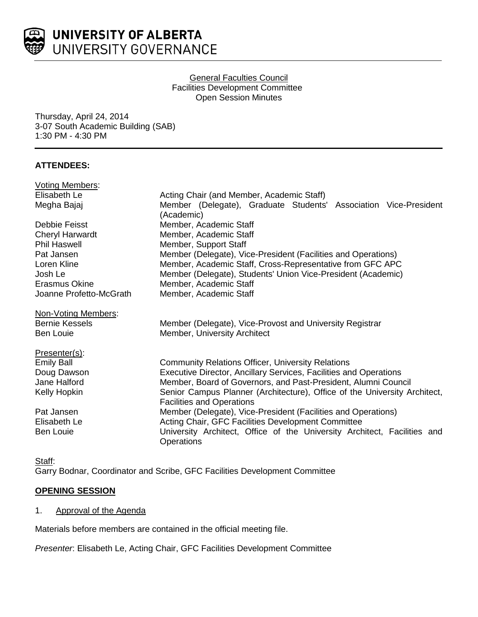

General Faculties Council Facilities Development Committee Open Session Minutes

Thursday, April 24, 2014 3-07 South Academic Building (SAB) 1:30 PM - 4:30 PM

# **ATTENDEES:**

| <b>Voting Members:</b>  |                                                                                               |
|-------------------------|-----------------------------------------------------------------------------------------------|
| Elisabeth Le            | Acting Chair (and Member, Academic Staff)                                                     |
| Megha Bajaj             | Member (Delegate), Graduate Students' Association Vice-President<br>(Academic)                |
| Debbie Feisst           | Member, Academic Staff                                                                        |
| <b>Cheryl Harwardt</b>  | Member, Academic Staff                                                                        |
| <b>Phil Haswell</b>     | Member, Support Staff                                                                         |
| Pat Jansen              | Member (Delegate), Vice-President (Facilities and Operations)                                 |
| Loren Kline             | Member, Academic Staff, Cross-Representative from GFC APC                                     |
| Josh Le                 | Member (Delegate), Students' Union Vice-President (Academic)                                  |
| Erasmus Okine           | Member, Academic Staff                                                                        |
| Joanne Profetto-McGrath | Member, Academic Staff                                                                        |
| Non-Voting Members:     |                                                                                               |
| <b>Bernie Kessels</b>   | Member (Delegate), Vice-Provost and University Registrar                                      |
| <b>Ben Louie</b>        | Member, University Architect                                                                  |
| Presenter(s):           |                                                                                               |
| <b>Emily Ball</b>       | <b>Community Relations Officer, University Relations</b>                                      |
| Doug Dawson             | Executive Director, Ancillary Services, Facilities and Operations                             |
| Jane Halford            | Member, Board of Governors, and Past-President, Alumni Council                                |
| Kelly Hopkin            | Senior Campus Planner (Architecture), Office of the University Architect,                     |
|                         | <b>Facilities and Operations</b>                                                              |
| Pat Jansen              | Member (Delegate), Vice-President (Facilities and Operations)                                 |
| Elisabeth Le            | Acting Chair, GFC Facilities Development Committee                                            |
| <b>Ben Louie</b>        | University Architect, Office of the University Architect, Facilities and<br><b>Operations</b> |

Staff: Garry Bodnar, Coordinator and Scribe, GFC Facilities Development Committee

# **OPENING SESSION**

1. Approval of the Agenda

Materials before members are contained in the official meeting file.

*Presenter*: Elisabeth Le, Acting Chair, GFC Facilities Development Committee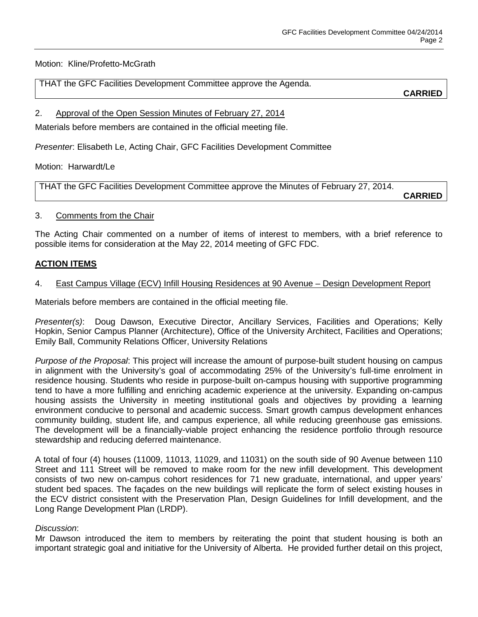Motion: Kline/Profetto-McGrath

THAT the GFC Facilities Development Committee approve the Agenda.

**CARRIED**

# 2. Approval of the Open Session Minutes of February 27, 2014

Materials before members are contained in the official meeting file.

*Presenter*: Elisabeth Le, Acting Chair, GFC Facilities Development Committee

Motion: Harwardt/Le

THAT the GFC Facilities Development Committee approve the Minutes of February 27, 2014.

**CARRIED**

### 3. Comments from the Chair

The Acting Chair commented on a number of items of interest to members, with a brief reference to possible items for consideration at the May 22, 2014 meeting of GFC FDC.

# **ACTION ITEMS**

# 4. East Campus Village (ECV) Infill Housing Residences at 90 Avenue – Design Development Report

Materials before members are contained in the official meeting file.

*Presenter(s)*: Doug Dawson, Executive Director, Ancillary Services, Facilities and Operations; Kelly Hopkin, Senior Campus Planner (Architecture), Office of the University Architect, Facilities and Operations; Emily Ball, Community Relations Officer, University Relations

*Purpose of the Proposal*: This project will increase the amount of purpose-built student housing on campus in alignment with the University's goal of accommodating 25% of the University's full-time enrolment in residence housing. Students who reside in purpose-built on-campus housing with supportive programming tend to have a more fulfilling and enriching academic experience at the university. Expanding on-campus housing assists the University in meeting institutional goals and objectives by providing a learning environment conducive to personal and academic success. Smart growth campus development enhances community building, student life, and campus experience, all while reducing greenhouse gas emissions. The development will be a financially-viable project enhancing the residence portfolio through resource stewardship and reducing deferred maintenance.

A total of four (4) houses (11009, 11013, 11029, and 11031) on the south side of 90 Avenue between 110 Street and 111 Street will be removed to make room for the new infill development. This development consists of two new on-campus cohort residences for 71 new graduate, international, and upper years' student bed spaces. The façades on the new buildings will replicate the form of select existing houses in the ECV district consistent with the Preservation Plan, Design Guidelines for Infill development, and the Long Range Development Plan (LRDP).

# *Discussion*:

Mr Dawson introduced the item to members by reiterating the point that student housing is both an important strategic goal and initiative for the University of Alberta. He provided further detail on this project,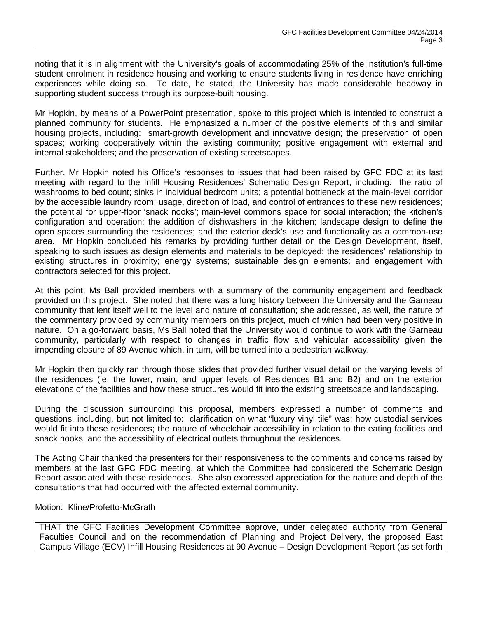noting that it is in alignment with the University's goals of accommodating 25% of the institution's full-time student enrolment in residence housing and working to ensure students living in residence have enriching experiences while doing so. To date, he stated, the University has made considerable headway in supporting student success through its purpose-built housing.

Mr Hopkin, by means of a PowerPoint presentation, spoke to this project which is intended to construct a planned community for students. He emphasized a number of the positive elements of this and similar housing projects, including: smart-growth development and innovative design; the preservation of open spaces; working cooperatively within the existing community; positive engagement with external and internal stakeholders; and the preservation of existing streetscapes.

Further, Mr Hopkin noted his Office's responses to issues that had been raised by GFC FDC at its last meeting with regard to the Infill Housing Residences' Schematic Design Report, including: the ratio of washrooms to bed count; sinks in individual bedroom units; a potential bottleneck at the main-level corridor by the accessible laundry room; usage, direction of load, and control of entrances to these new residences; the potential for upper-floor 'snack nooks'; main-level commons space for social interaction; the kitchen's configuration and operation; the addition of dishwashers in the kitchen; landscape design to define the open spaces surrounding the residences; and the exterior deck's use and functionality as a common-use area. Mr Hopkin concluded his remarks by providing further detail on the Design Development, itself, speaking to such issues as design elements and materials to be deployed; the residences' relationship to existing structures in proximity; energy systems; sustainable design elements; and engagement with contractors selected for this project.

At this point, Ms Ball provided members with a summary of the community engagement and feedback provided on this project. She noted that there was a long history between the University and the Garneau community that lent itself well to the level and nature of consultation; she addressed, as well, the nature of the commentary provided by community members on this project, much of which had been very positive in nature. On a go-forward basis, Ms Ball noted that the University would continue to work with the Garneau community, particularly with respect to changes in traffic flow and vehicular accessibility given the impending closure of 89 Avenue which, in turn, will be turned into a pedestrian walkway.

Mr Hopkin then quickly ran through those slides that provided further visual detail on the varying levels of the residences (ie, the lower, main, and upper levels of Residences B1 and B2) and on the exterior elevations of the facilities and how these structures would fit into the existing streetscape and landscaping.

During the discussion surrounding this proposal, members expressed a number of comments and questions, including, but not limited to: clarification on what "luxury vinyl tile" was; how custodial services would fit into these residences; the nature of wheelchair accessibility in relation to the eating facilities and snack nooks; and the accessibility of electrical outlets throughout the residences.

The Acting Chair thanked the presenters for their responsiveness to the comments and concerns raised by members at the last GFC FDC meeting, at which the Committee had considered the Schematic Design Report associated with these residences. She also expressed appreciation for the nature and depth of the consultations that had occurred with the affected external community.

#### Motion: Kline/Profetto-McGrath

THAT the GFC Facilities Development Committee approve, under delegated authority from General Faculties Council and on the recommendation of Planning and Project Delivery, the proposed East Campus Village (ECV) Infill Housing Residences at 90 Avenue – Design Development Report (as set forth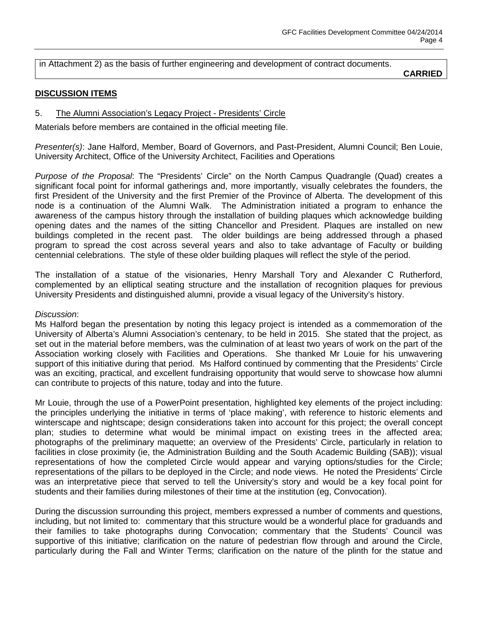### in Attachment 2) as the basis of further engineering and development of contract documents.

**CARRIED**

### **DISCUSSION ITEMS**

### 5. The Alumni Association's Legacy Project - Presidents' Circle

Materials before members are contained in the official meeting file.

*Presenter(s)*: Jane Halford, Member, Board of Governors, and Past-President, Alumni Council; Ben Louie, University Architect, Office of the University Architect, Facilities and Operations

*Purpose of the Proposal*: The "Presidents' Circle" on the North Campus Quadrangle (Quad) creates a significant focal point for informal gatherings and, more importantly, visually celebrates the founders, the first President of the University and the first Premier of the Province of Alberta. The development of this node is a continuation of the Alumni Walk. The Administration initiated a program to enhance the awareness of the campus history through the installation of building plaques which acknowledge building opening dates and the names of the sitting Chancellor and President. Plaques are installed on new buildings completed in the recent past. The older buildings are being addressed through a phased program to spread the cost across several years and also to take advantage of Faculty or building centennial celebrations. The style of these older building plaques will reflect the style of the period.

The installation of a statue of the visionaries, Henry Marshall Tory and Alexander C Rutherford, complemented by an elliptical seating structure and the installation of recognition plaques for previous University Presidents and distinguished alumni, provide a visual legacy of the University's history.

#### *Discussion*:

Ms Halford began the presentation by noting this legacy project is intended as a commemoration of the University of Alberta's Alumni Association's centenary, to be held in 2015. She stated that the project, as set out in the material before members, was the culmination of at least two years of work on the part of the Association working closely with Facilities and Operations. She thanked Mr Louie for his unwavering support of this initiative during that period. Ms Halford continued by commenting that the Presidents' Circle was an exciting, practical, and excellent fundraising opportunity that would serve to showcase how alumni can contribute to projects of this nature, today and into the future.

Mr Louie, through the use of a PowerPoint presentation, highlighted key elements of the project including: the principles underlying the initiative in terms of 'place making', with reference to historic elements and winterscape and nightscape; design considerations taken into account for this project; the overall concept plan; studies to determine what would be minimal impact on existing trees in the affected area; photographs of the preliminary maquette; an overview of the Presidents' Circle, particularly in relation to facilities in close proximity (ie, the Administration Building and the South Academic Building (SAB)); visual representations of how the completed Circle would appear and varying options/studies for the Circle; representations of the pillars to be deployed in the Circle; and node views. He noted the Presidents' Circle was an interpretative piece that served to tell the University's story and would be a key focal point for students and their families during milestones of their time at the institution (eg, Convocation).

During the discussion surrounding this project, members expressed a number of comments and questions, including, but not limited to: commentary that this structure would be a wonderful place for graduands and their families to take photographs during Convocation; commentary that the Students' Council was supportive of this initiative; clarification on the nature of pedestrian flow through and around the Circle, particularly during the Fall and Winter Terms; clarification on the nature of the plinth for the statue and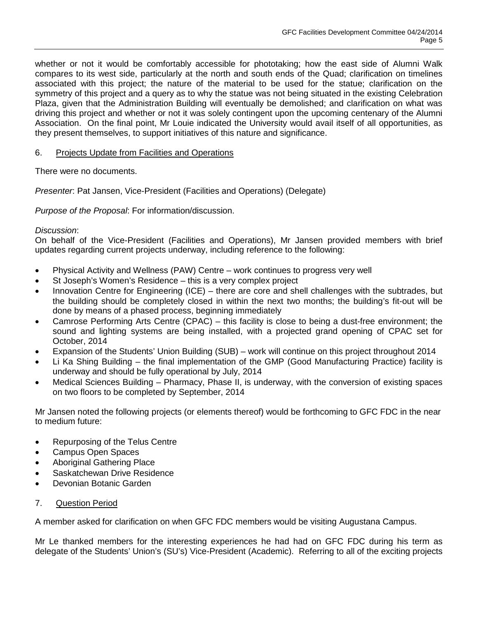whether or not it would be comfortably accessible for phototaking; how the east side of Alumni Walk compares to its west side, particularly at the north and south ends of the Quad; clarification on timelines associated with this project; the nature of the material to be used for the statue; clarification on the symmetry of this project and a query as to why the statue was not being situated in the existing Celebration Plaza, given that the Administration Building will eventually be demolished; and clarification on what was driving this project and whether or not it was solely contingent upon the upcoming centenary of the Alumni Association. On the final point, Mr Louie indicated the University would avail itself of all opportunities, as they present themselves, to support initiatives of this nature and significance.

# 6. Projects Update from Facilities and Operations

There were no documents.

*Presenter*: Pat Jansen, Vice-President (Facilities and Operations) (Delegate)

*Purpose of the Proposal*: For information/discussion.

# *Discussion*:

On behalf of the Vice-President (Facilities and Operations), Mr Jansen provided members with brief updates regarding current projects underway, including reference to the following:

- Physical Activity and Wellness (PAW) Centre work continues to progress very well
- St Joseph's Women's Residence this is a very complex project
- Innovation Centre for Engineering (ICE) there are core and shell challenges with the subtrades, but the building should be completely closed in within the next two months; the building's fit-out will be done by means of a phased process, beginning immediately
- Camrose Performing Arts Centre (CPAC) this facility is close to being a dust-free environment; the sound and lighting systems are being installed, with a projected grand opening of CPAC set for October, 2014
- Expansion of the Students' Union Building (SUB) work will continue on this project throughout 2014
- Li Ka Shing Building the final implementation of the GMP (Good Manufacturing Practice) facility is underway and should be fully operational by July, 2014
- Medical Sciences Building Pharmacy, Phase II, is underway, with the conversion of existing spaces on two floors to be completed by September, 2014

Mr Jansen noted the following projects (or elements thereof) would be forthcoming to GFC FDC in the near to medium future:

- Repurposing of the Telus Centre
- Campus Open Spaces
- Aboriginal Gathering Place
- Saskatchewan Drive Residence
- Devonian Botanic Garden

# 7. Question Period

A member asked for clarification on when GFC FDC members would be visiting Augustana Campus.

Mr Le thanked members for the interesting experiences he had had on GFC FDC during his term as delegate of the Students' Union's (SU's) Vice-President (Academic). Referring to all of the exciting projects